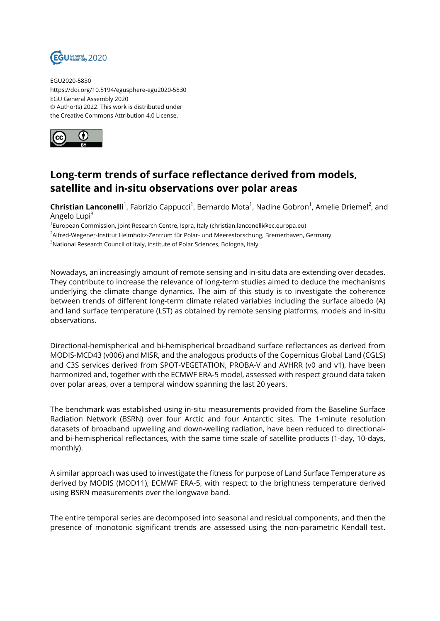

EGU2020-5830 https://doi.org/10.5194/egusphere-egu2020-5830 EGU General Assembly 2020 © Author(s) 2022. This work is distributed under the Creative Commons Attribution 4.0 License.



## **Long-term trends of surface reflectance derived from models, satellite and in-situ observations over polar areas**

**Christian Lanconelli**<sup>1</sup>, Fabrizio Cappucci<sup>1</sup>, Bernardo Mota<sup>1</sup>, Nadine Gobron<sup>1</sup>, Amelie Driemel<sup>2</sup>, and Angelo Lupi<sup>3</sup>

1 European Commission, Joint Research Centre, Ispra, Italy (christian.lanconelli@ec.europa.eu) <sup>2</sup>Alfred-Wegener-Institut Helmholtz-Zentrum für Polar- und Meeresforschung, Bremerhaven, Germany <sup>3</sup>National Research Council of Italy, institute of Polar Sciences, Bologna, Italy

Nowadays, an increasingly amount of remote sensing and in-situ data are extending over decades. They contribute to increase the relevance of long-term studies aimed to deduce the mechanisms underlying the climate change dynamics. The aim of this study is to investigate the coherence between trends of different long-term climate related variables including the surface albedo (A) and land surface temperature (LST) as obtained by remote sensing platforms, models and in-situ observations.

Directional-hemispherical and bi-hemispherical broadband surface reflectances as derived from MODIS-MCD43 (v006) and MISR, and the analogous products of the Copernicus Global Land (CGLS) and C3S services derived from SPOT-VEGETATION, PROBA-V and AVHRR (v0 and v1), have been harmonized and, together with the ECMWF ERA-5 model, assessed with respect ground data taken over polar areas, over a temporal window spanning the last 20 years.

The benchmark was established using in-situ measurements provided from the Baseline Surface Radiation Network (BSRN) over four Arctic and four Antarctic sites. The 1-minute resolution datasets of broadband upwelling and down-welling radiation, have been reduced to directionaland bi-hemispherical reflectances, with the same time scale of satellite products (1-day, 10-days, monthly).

A similar approach was used to investigate the fitness for purpose of Land Surface Temperature as derived by MODIS (MOD11), ECMWF ERA-5, with respect to the brightness temperature derived using BSRN measurements over the longwave band.

The entire temporal series are decomposed into seasonal and residual components, and then the presence of monotonic significant trends are assessed using the non-parametric Kendall test.